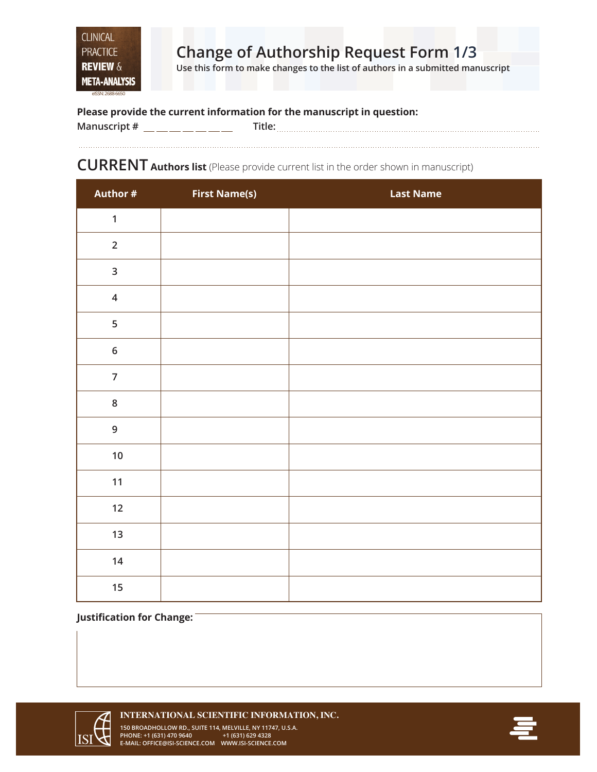**Use this form to make changes to the list of authors in a submitted manuscript**

### **Please provide the current information for the manuscript in question:**

| Manuscript # | . |
|--------------|---|
|              |   |

### **CURRENT Authors list** (Please provide current list in the order shown in manuscript)

| Author #                | <b>First Name(s)</b> | <b>Last Name</b> |
|-------------------------|----------------------|------------------|
| $\mathbf{1}$            |                      |                  |
| $\overline{2}$          |                      |                  |
| $\overline{\mathbf{3}}$ |                      |                  |
| $\overline{\mathbf{4}}$ |                      |                  |
| 5                       |                      |                  |
| $\bf 6$                 |                      |                  |
| $\overline{7}$          |                      |                  |
| $\bf 8$                 |                      |                  |
| $\mathsf 9$             |                      |                  |
| $10\,$                  |                      |                  |
| 11                      |                      |                  |
| 12                      |                      |                  |
| 13                      |                      |                  |
| 14                      |                      |                  |
| 15                      |                      |                  |

#### **Justification for Change:**



**INTERNATIONAL SCIENTIFIC INFORMATION, INC. 150 BROADHOLLOW RD., SUITE 114, MELVILLE, NY 11747, U.S.A. PHONE: +1 (631) 470 9640 +1 (631) 629 4328 E-MAIL: OFFICE@ISI-SCIENCE.COM WWW.ISI-SCIENCE.COM**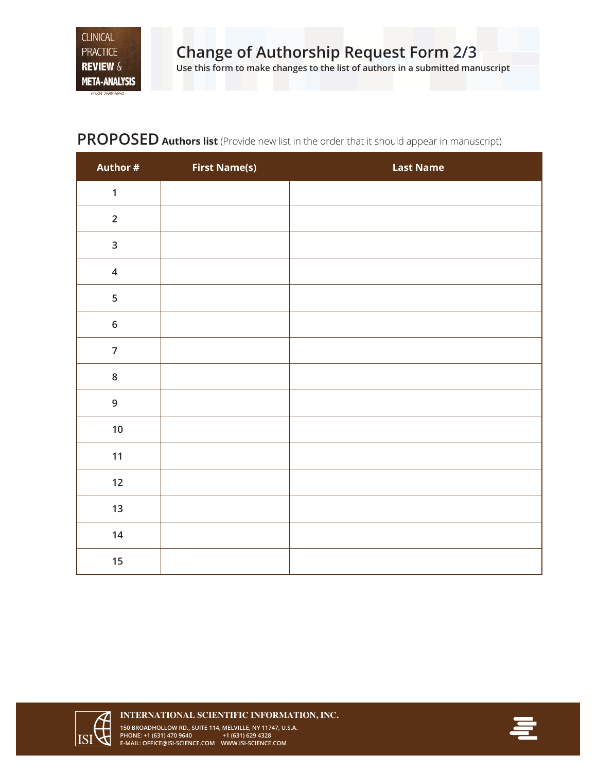eISSN: 2688-6650

# **PROPOSED Authors list** (Provide new list in the order that it should appear in manuscript)

| Author #       | <b>First Name(s)</b> | <b>Last Name</b> |
|----------------|----------------------|------------------|
| $\mathbf{1}$   |                      |                  |
| $\overline{2}$ |                      |                  |
| $\mathsf{3}$   |                      |                  |
| $\overline{4}$ |                      |                  |
| 5              |                      |                  |
| $\bf 6$        |                      |                  |
| $\overline{7}$ |                      |                  |
| $\bf 8$        |                      |                  |
| 9              |                      |                  |
| $10$           |                      |                  |
| 11             |                      |                  |
| 12             |                      |                  |
| 13             |                      |                  |
| 14             |                      |                  |
| 15             |                      |                  |